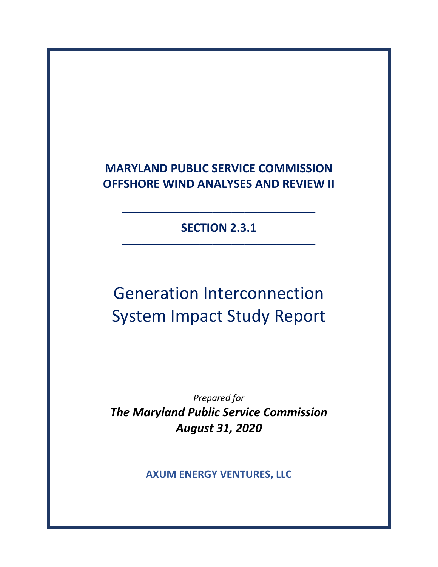## **MARYLAND PUBLIC SERVICE COMMISSION OFFSHORE WIND ANALYSES AND REVIEW II**

**SECTION 2.3.1**

**──────────────────────────────**

**──────────────────────────────**

# Generation Interconnection System Impact Study Report

*Prepared for The Maryland Public Service Commission August 31, 2020*

**AXUM ENERGY VENTURES, LLC**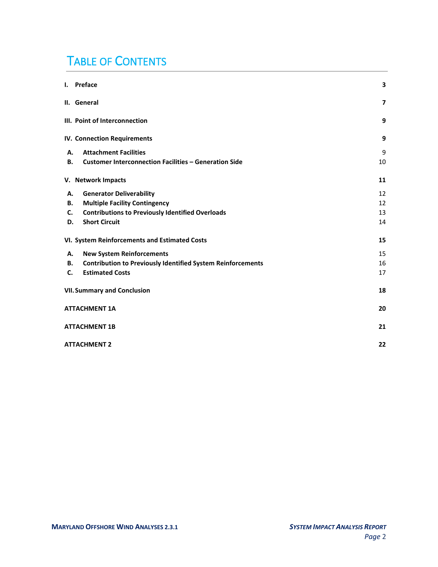## TABLE OF CONTENTS

| I. Preface                                                               | 3              |
|--------------------------------------------------------------------------|----------------|
| II. General                                                              | $\overline{ }$ |
| III. Point of Interconnection                                            | 9              |
| <b>IV. Connection Requirements</b>                                       | 9              |
| <b>Attachment Facilities</b><br>А.                                       | 9              |
| <b>Customer Interconnection Facilities - Generation Side</b><br>В.       | 10             |
| V. Network Impacts                                                       | 11             |
| <b>Generator Deliverability</b><br>А.                                    | 12             |
| <b>Multiple Facility Contingency</b><br>В.                               | 12             |
| <b>Contributions to Previously Identified Overloads</b><br>C.            | 13             |
| <b>Short Circuit</b><br>D.                                               | 14             |
| VI. System Reinforcements and Estimated Costs                            | 15             |
| <b>New System Reinforcements</b><br>А.                                   | 15             |
| <b>Contribution to Previously Identified System Reinforcements</b><br>В. | 16             |
| <b>Estimated Costs</b><br>C.                                             | 17             |
| <b>VII. Summary and Conclusion</b>                                       | 18             |
| ATTACHMENT 1A                                                            | 20             |
| <b>ATTACHMENT 1B</b>                                                     | 21             |
| <b>ATTACHMENT 2</b>                                                      | 22             |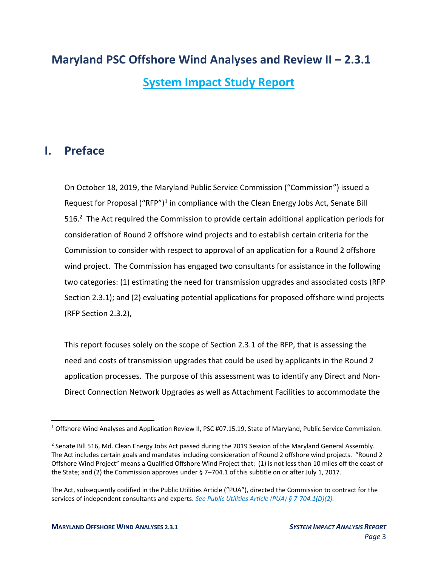### **Maryland PSC Offshore Wind Analyses and Review II – 2.3.1**

**System Impact Study Report**

### <span id="page-2-0"></span>**I. Preface**

On October 18, 2019, the Maryland Public Service Commission ("Commission") issued a Request for Proposal ("RFP")<sup>1</sup> in compliance with the Clean Energy Jobs Act, Senate Bill 516.<sup>2</sup> The Act required the Commission to provide certain additional application periods for consideration of Round 2 offshore wind projects and to establish certain criteria for the Commission to consider with respect to approval of an application for a Round 2 offshore wind project. The Commission has engaged two consultants for assistance in the following two categories: (1) estimating the need for transmission upgrades and associated costs (RFP Section 2.3.1); and (2) evaluating potential applications for proposed offshore wind projects (RFP Section 2.3.2),

This report focuses solely on the scope of Section 2.3.1 of the RFP, that is assessing the need and costs of transmission upgrades that could be used by applicants in the Round 2 application processes. The purpose of this assessment was to identify any Direct and Non-Direct Connection Network Upgrades as well as Attachment Facilities to accommodate the

<sup>&</sup>lt;sup>1</sup> Offshore Wind Analyses and Application Review II, PSC #07.15.19, State of Maryland, Public Service Commission.

<sup>&</sup>lt;sup>2</sup> Senate Bill 516, Md. Clean Energy Jobs Act passed during the 2019 Session of the Maryland General Assembly. The Act includes certain goals and mandates including consideration of Round 2 offshore wind projects. "Round 2 Offshore Wind Project" means a Qualified Offshore Wind Project that: (1) is not less than 10 miles off the coast of the State; and (2) the Commission approves under § 7–704.1 of this subtitle on or after July 1, 2017.

The Act, subsequently codified in the Public Utilities Article ("PUA"), directed the Commission to contract for the services of independent consultants and experts. *See Public Utilities Article (PUA) § 7-704.1(D)(2).*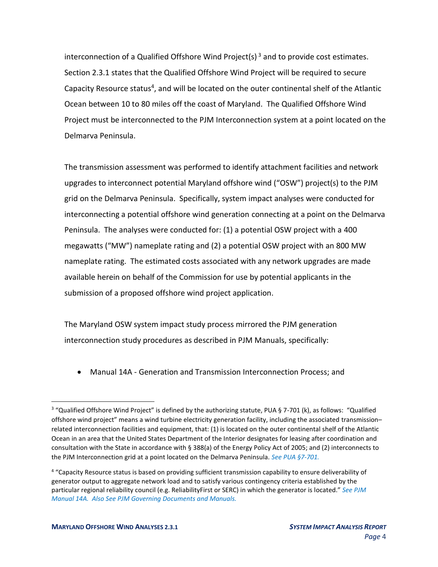interconnection of a Qualified Offshore Wind Project(s)<sup>3</sup> and to provide cost estimates. Section 2.3.1 states that the Qualified Offshore Wind Project will be required to secure Capacity Resource status<sup>4</sup>, and will be located on the outer continental shelf of the Atlantic Ocean between 10 to 80 miles off the coast of Maryland. The Qualified Offshore Wind Project must be interconnected to the PJM Interconnection system at a point located on the Delmarva Peninsula.

The transmission assessment was performed to identify attachment facilities and network upgrades to interconnect potential Maryland offshore wind ("OSW") project(s) to the PJM grid on the Delmarva Peninsula. Specifically, system impact analyses were conducted for interconnecting a potential offshore wind generation connecting at a point on the Delmarva Peninsula. The analyses were conducted for: (1) a potential OSW project with a 400 megawatts ("MW") nameplate rating and (2) a potential OSW project with an 800 MW nameplate rating. The estimated costs associated with any network upgrades are made available herein on behalf of the Commission for use by potential applicants in the submission of a proposed offshore wind project application.

The Maryland OSW system impact study process mirrored the PJM generation interconnection study procedures as described in PJM Manuals, specifically:

• Manual 14A - Generation and Transmission Interconnection Process; and

<sup>&</sup>lt;sup>3</sup> "Qualified Offshore Wind Project" is defined by the authorizing statute, PUA § 7-701 (k), as follows: "Qualified offshore wind project" means a wind turbine electricity generation facility, including the associated transmission– related interconnection facilities and equipment, that: (1) is located on the outer continental shelf of the Atlantic Ocean in an area that the United States Department of the Interior designates for leasing after coordination and consultation with the State in accordance with § 388(a) of the Energy Policy Act of 2005; and (2) interconnects to the PJM Interconnection grid at a point located on the Delmarva Peninsula. *See PUA §7-701.*

<sup>4</sup> "Capacity Resource status is based on providing sufficient transmission capability to ensure deliverability of generator output to aggregate network load and to satisfy various contingency criteria established by the particular regional reliability council (e.g. ReliabilityFirst or SERC) in which the generator is located." *See PJM Manual 14A. Also See PJM Governing Documents and Manuals.*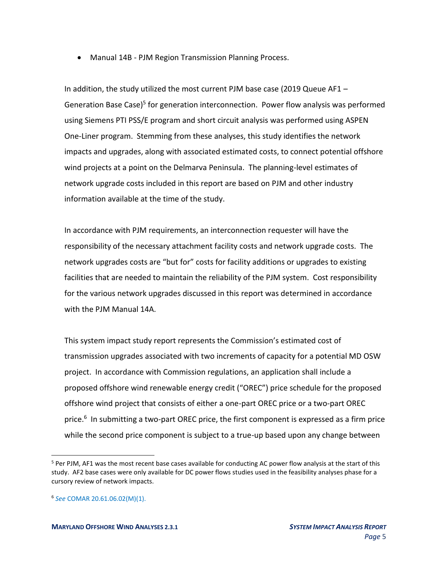• Manual 14B - PJM Region Transmission Planning Process.

In addition, the study utilized the most current PJM base case (2019 Queue AF1 – Generation Base Case)<sup>5</sup> for generation interconnection. Power flow analysis was performed using Siemens PTI PSS/E program and short circuit analysis was performed using ASPEN One-Liner program. Stemming from these analyses, this study identifies the network impacts and upgrades, along with associated estimated costs, to connect potential offshore wind projects at a point on the Delmarva Peninsula. The planning-level estimates of network upgrade costs included in this report are based on PJM and other industry information available at the time of the study.

In accordance with PJM requirements, an interconnection requester will have the responsibility of the necessary attachment facility costs and network upgrade costs. The network upgrades costs are "but for" costs for facility additions or upgrades to existing facilities that are needed to maintain the reliability of the PJM system. Cost responsibility for the various network upgrades discussed in this report was determined in accordance with the PJM Manual 14A.

This system impact study report represents the Commission's estimated cost of transmission upgrades associated with two increments of capacity for a potential MD OSW project. In accordance with Commission regulations, an application shall include a proposed offshore wind renewable energy credit ("OREC") price schedule for the proposed offshore wind project that consists of either a one-part OREC price or a two-part OREC price.<sup>6</sup> In submitting a two-part OREC price, the first component is expressed as a firm price while the second price component is subject to a true-up based upon any change between

<sup>5</sup> Per PJM, AF1 was the most recent base cases available for conducting AC power flow analysis at the start of this study. AF2 base cases were only available for DC power flows studies used in the feasibility analyses phase for a cursory review of network impacts.

<sup>6</sup> *See* COMAR 20.61.06.02(M)(1).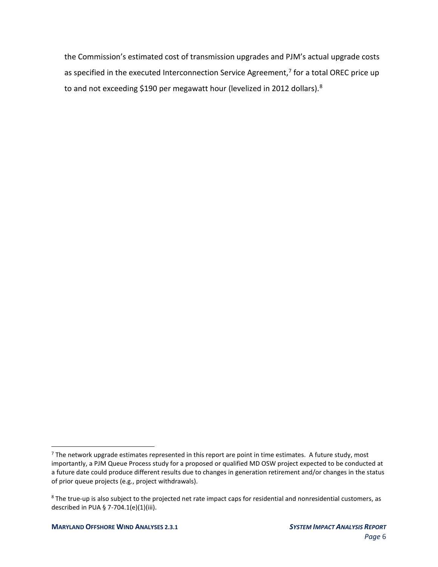the Commission's estimated cost of transmission upgrades and PJM's actual upgrade costs as specified in the executed Interconnection Service Agreement,<sup>7</sup> for a total OREC price up to and not exceeding \$190 per megawatt hour (levelized in 2012 dollars).<sup>8</sup>

 $<sup>7</sup>$  The network upgrade estimates represented in this report are point in time estimates. A future study, most</sup> importantly, a PJM Queue Process study for a proposed or qualified MD OSW project expected to be conducted at a future date could produce different results due to changes in generation retirement and/or changes in the status of prior queue projects (e.g., project withdrawals).

<sup>&</sup>lt;sup>8</sup> The true-up is also subject to the projected net rate impact caps for residential and nonresidential customers, as described in PUA § 7-704.1(e)(1)(iii).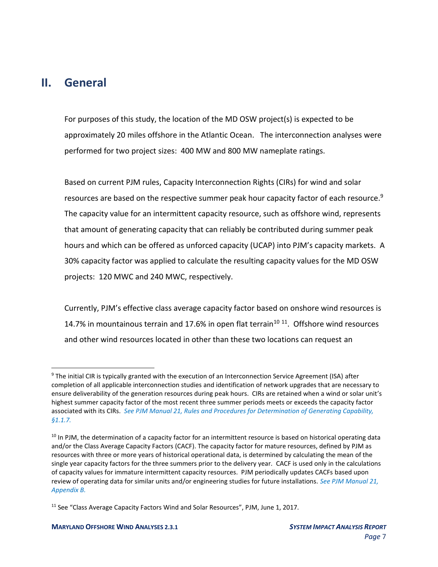### <span id="page-6-0"></span>**II. General**

For purposes of this study, the location of the MD OSW project(s) is expected to be approximately 20 miles offshore in the Atlantic Ocean. The interconnection analyses were performed for two project sizes: 400 MW and 800 MW nameplate ratings.

Based on current PJM rules, Capacity Interconnection Rights (CIRs) for wind and solar resources are based on the respective summer peak hour capacity factor of each resource.<sup>9</sup> The capacity value for an intermittent capacity resource, such as offshore wind, represents that amount of generating capacity that can reliably be contributed during summer peak hours and which can be offered as unforced capacity (UCAP) into PJM's capacity markets. A 30% capacity factor was applied to calculate the resulting capacity values for the MD OSW projects: 120 MWC and 240 MWC, respectively.

Currently, PJM's effective class average capacity factor based on onshore wind resources is 14.7% in mountainous terrain and 17.6% in open flat terrain<sup>10 11</sup>. Offshore wind resources and other wind resources located in other than these two locations can request an

<sup>&</sup>lt;sup>9</sup> The initial CIR is typically granted with the execution of an Interconnection Service Agreement (ISA) after completion of all applicable interconnection studies and identification of network upgrades that are necessary to ensure deliverability of the generation resources during peak hours. CIRs are retained when a wind or solar unit's highest summer capacity factor of the most recent three summer periods meets or exceeds the capacity factor associated with its CIRs. *See PJM Manual 21, Rules and Procedures for Determination of Generating Capability, §1.1.7.*

<sup>&</sup>lt;sup>10</sup> In PJM, the determination of a capacity factor for an intermittent resource is based on historical operating data and/or the Class Average Capacity Factors (CACF). The capacity factor for mature resources, defined by PJM as resources with three or more years of historical operational data, is determined by calculating the mean of the single year capacity factors for the three summers prior to the delivery year. CACF is used only in the calculations of capacity values for immature intermittent capacity resources. PJM periodically updates CACFs based upon review of operating data for similar units and/or engineering studies for future installations. *See PJM Manual 21, Appendix B.*

<sup>&</sup>lt;sup>11</sup> See "Class Average Capacity Factors Wind and Solar Resources", PJM, June 1, 2017.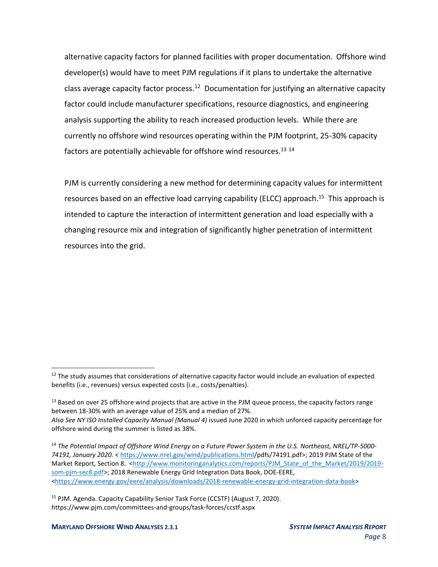alternative capacity factors for planned facilities with proper documentation. Offshore wind developer(s) would have to meet PJM regulations if it plans to undertake the alternative class average capacity factor process.<sup>12</sup> Documentation for justifying an alternative capacity factor could include manufacturer specifications, resource diagnostics, and engineering analysis supporting the ability to reach increased production levels. While there are currently no offshore wind resources operating within the PJM footprint, 25-30% capacity factors are potentially achievable for offshore wind resources.<sup>13 14</sup>

PJM is currently considering a new method for determining capacity values for intermittent resources based on an effective load carrying capability (ELCC) approach.<sup>15</sup> This approach is intended to capture the interaction of intermittent generation and load especially with a changing resource mix and integration of significantly higher penetration of intermittent resources into the grid.

<sup>13</sup> Based on over 25 offshore wind projects that are active in the PJM queue process, the capacity factors range between 18-30% with an average value of 25% and a median of 27%. *Also See NY ISO Installed Capacity Manual (Manual 4)* issued June 2020 in which unforced capacity percentage for offshore wind during the summer is listed as 38%.

<sup>14</sup> *The Potential Impact of Offshore Wind Energy on a Future Power System in the U.S. Northeast, NREL/TP-5000- 74191, January 2020. <* [https://www.nrel.gov/wind/publications.html/](https://www.nrel.gov/wind/publications.html)pdfs/74191.pdf>; 2019 PJM State of the Market Report, Section 8. <http://www.monitoringanalytics.com/reports/PJM\_State\_of\_the\_Market/2019/2019som-pjm-sec8.pdf>; 2018 Renewable Energy Grid Integration Data Book, DOE-EERE, [<https://www.energy.gov/eere/analysis/downloads/2018-renewable-energy-grid-integration-data-book>](https://www.energy.gov/eere/analysis/downloads/2018-renewable-energy-grid-integration-data-book)

<sup>15</sup> PJM. Agenda. Capacity Capability Senior Task Force (CCSTF) (August 7, 2020). https://www.pjm.com/committees-and-groups/task-forces/ccstf.aspx

<sup>&</sup>lt;sup>12</sup> The study assumes that considerations of alternative capacity factor would include an evaluation of expected benefits (i.e., revenues) versus expected costs (i.e., costs/penalties).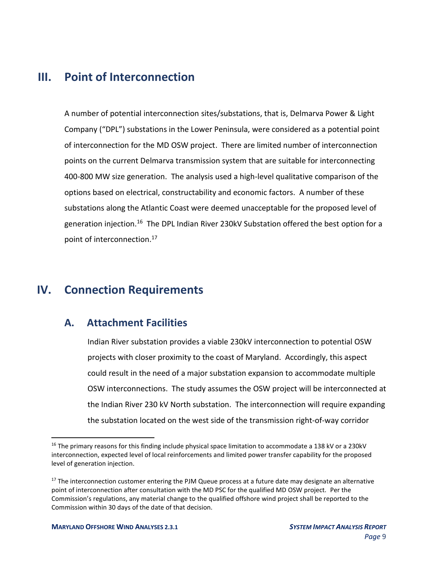### <span id="page-8-0"></span>**III. Point of Interconnection**

A number of potential interconnection sites/substations, that is, Delmarva Power & Light Company ("DPL") substations in the Lower Peninsula, were considered as a potential point of interconnection for the MD OSW project. There are limited number of interconnection points on the current Delmarva transmission system that are suitable for interconnecting 400-800 MW size generation. The analysis used a high-level qualitative comparison of the options based on electrical, constructability and economic factors. A number of these substations along the Atlantic Coast were deemed unacceptable for the proposed level of generation injection.<sup>16</sup> The DPL Indian River 230kV Substation offered the best option for a point of interconnection.<sup>17</sup>

### <span id="page-8-1"></span>**IV. Connection Requirements**

#### <span id="page-8-2"></span>**A. Attachment Facilities**

Indian River substation provides a viable 230kV interconnection to potential OSW projects with closer proximity to the coast of Maryland. Accordingly, this aspect could result in the need of a major substation expansion to accommodate multiple OSW interconnections. The study assumes the OSW project will be interconnected at the Indian River 230 kV North substation. The interconnection will require expanding the substation located on the west side of the transmission right-of-way corridor

<sup>&</sup>lt;sup>16</sup> The primary reasons for this finding include physical space limitation to accommodate a 138 kV or a 230kV interconnection, expected level of local reinforcements and limited power transfer capability for the proposed level of generation injection.

 $17$  The interconnection customer entering the PJM Queue process at a future date may designate an alternative point of interconnection after consultation with the MD PSC for the qualified MD OSW project. Per the Commission's regulations, any material change to the qualified offshore wind project shall be reported to the Commission within 30 days of the date of that decision.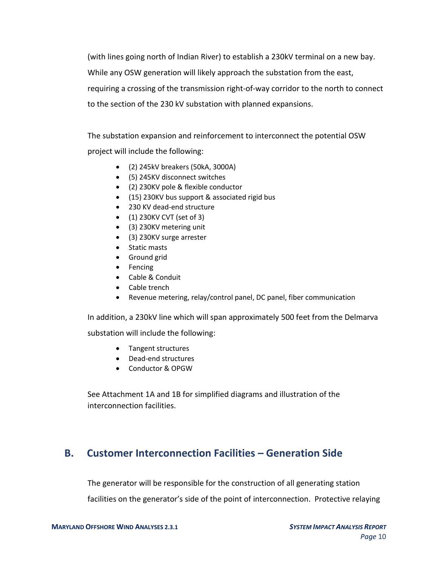(with lines going north of Indian River) to establish a 230kV terminal on a new bay. While any OSW generation will likely approach the substation from the east, requiring a crossing of the transmission right-of-way corridor to the north to connect to the section of the 230 kV substation with planned expansions.

The substation expansion and reinforcement to interconnect the potential OSW project will include the following:

- (2) 245kV breakers (50kA, 3000A)
- (5) 245KV disconnect switches
- (2) 230KV pole & flexible conductor
- (15) 230KV bus support & associated rigid bus
- 230 KV dead-end structure
- (1) 230KV CVT (set of 3)
- (3) 230KV metering unit
- (3) 230KV surge arrester
- Static masts
- Ground grid
- Fencing
- Cable & Conduit
- Cable trench
- Revenue metering, relay/control panel, DC panel, fiber communication

In addition, a 230kV line which will span approximately 500 feet from the Delmarva substation will include the following:

- Tangent structures
- Dead-end structures
- Conductor & OPGW

See Attachment 1A and 1B for simplified diagrams and illustration of the interconnection facilities.

#### <span id="page-9-0"></span>**B. Customer Interconnection Facilities – Generation Side**

The generator will be responsible for the construction of all generating station

facilities on the generator's side of the point of interconnection. Protective relaying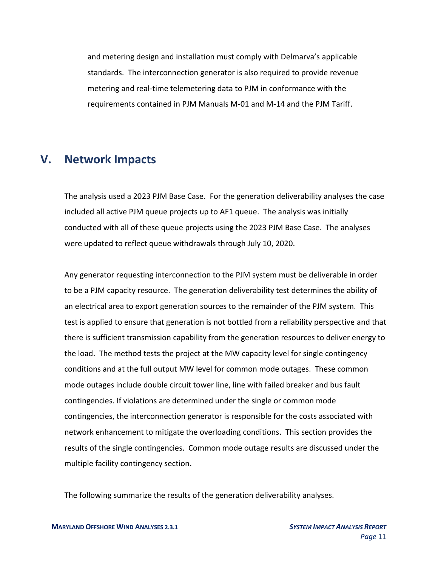and metering design and installation must comply with Delmarva's applicable standards. The interconnection generator is also required to provide revenue metering and real-time telemetering data to PJM in conformance with the requirements contained in PJM Manuals M-01 and M-14 and the PJM Tariff.

#### <span id="page-10-0"></span>**V. Network Impacts**

The analysis used a 2023 PJM Base Case. For the generation deliverability analyses the case included all active PJM queue projects up to AF1 queue. The analysis was initially conducted with all of these queue projects using the 2023 PJM Base Case. The analyses were updated to reflect queue withdrawals through July 10, 2020.

Any generator requesting interconnection to the PJM system must be deliverable in order to be a PJM capacity resource. The generation deliverability test determines the ability of an electrical area to export generation sources to the remainder of the PJM system. This test is applied to ensure that generation is not bottled from a reliability perspective and that there is sufficient transmission capability from the generation resources to deliver energy to the load. The method tests the project at the MW capacity level for single contingency conditions and at the full output MW level for common mode outages. These common mode outages include double circuit tower line, line with failed breaker and bus fault contingencies. If violations are determined under the single or common mode contingencies, the interconnection generator is responsible for the costs associated with network enhancement to mitigate the overloading conditions. This section provides the results of the single contingencies. Common mode outage results are discussed under the multiple facility contingency section.

The following summarize the results of the generation deliverability analyses.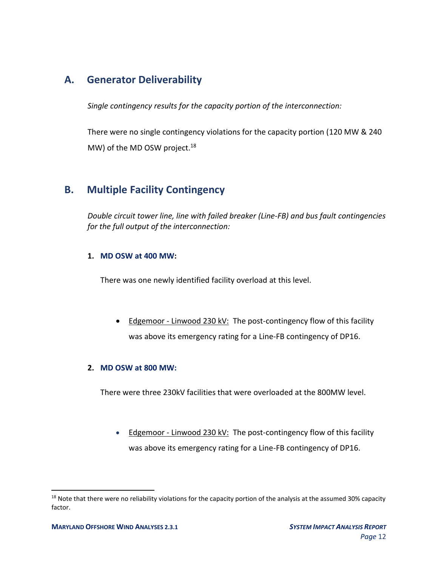#### <span id="page-11-0"></span>**A. Generator Deliverability**

*Single contingency results for the capacity portion of the interconnection:*

There were no single contingency violations for the capacity portion (120 MW & 240 MW) of the MD OSW project.<sup>18</sup>

#### <span id="page-11-1"></span>**B. Multiple Facility Contingency**

*Double circuit tower line, line with failed breaker (Line-FB) and bus fault contingencies for the full output of the interconnection:*

#### **1. MD OSW at 400 MW:**

There was one newly identified facility overload at this level.

• Edgemoor - Linwood 230 kV: The post-contingency flow of this facility was above its emergency rating for a Line-FB contingency of DP16.

#### **2. MD OSW at 800 MW:**

There were three 230kV facilities that were overloaded at the 800MW level.

• Edgemoor - Linwood 230 kV: The post-contingency flow of this facility was above its emergency rating for a Line-FB contingency of DP16.

<sup>&</sup>lt;sup>18</sup> Note that there were no reliability violations for the capacity portion of the analysis at the assumed 30% capacity factor.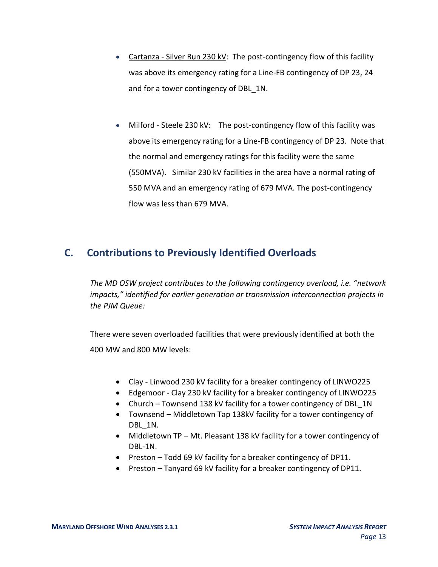- Cartanza Silver Run 230 kV: The post-contingency flow of this facility was above its emergency rating for a Line-FB contingency of DP 23, 24 and for a tower contingency of DBL\_1N.
- Milford Steele 230 kV: The post-contingency flow of this facility was above its emergency rating for a Line-FB contingency of DP 23. Note that the normal and emergency ratings for this facility were the same (550MVA). Similar 230 kV facilities in the area have a normal rating of 550 MVA and an emergency rating of 679 MVA. The post-contingency flow was less than 679 MVA.

#### <span id="page-12-0"></span>**C. Contributions to Previously Identified Overloads**

*The MD OSW project contributes to the following contingency overload, i.e. "network impacts," identified for earlier generation or transmission interconnection projects in the PJM Queue:*

There were seven overloaded facilities that were previously identified at both the 400 MW and 800 MW levels:

- Clay Linwood 230 kV facility for a breaker contingency of LINWO225
- Edgemoor Clay 230 kV facility for a breaker contingency of LINWO225
- Church Townsend 138 kV facility for a tower contingency of DBL 1N
- Townsend Middletown Tap 138kV facility for a tower contingency of DBL 1N.
- Middletown TP Mt. Pleasant 138 kV facility for a tower contingency of DBL-1N.
- Preston Todd 69 kV facility for a breaker contingency of DP11.
- Preston Tanyard 69 kV facility for a breaker contingency of DP11.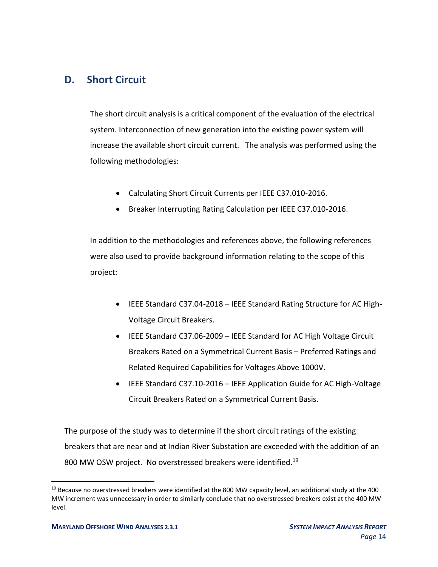#### <span id="page-13-0"></span>**D. Short Circuit**

The short circuit analysis is a critical component of the evaluation of the electrical system. Interconnection of new generation into the existing power system will increase the available short circuit current. The analysis was performed using the following methodologies:

- Calculating Short Circuit Currents per IEEE C37.010-2016.
- Breaker Interrupting Rating Calculation per IEEE C37.010-2016.

In addition to the methodologies and references above, the following references were also used to provide background information relating to the scope of this project:

- IEEE Standard C37.04-2018 IEEE Standard Rating Structure for AC High-Voltage Circuit Breakers.
- IEEE Standard C37.06-2009 IEEE Standard for AC High Voltage Circuit Breakers Rated on a Symmetrical Current Basis – Preferred Ratings and Related Required Capabilities for Voltages Above 1000V.
- IEEE Standard C37.10-2016 IEEE Application Guide for AC High-Voltage Circuit Breakers Rated on a Symmetrical Current Basis.

The purpose of the study was to determine if the short circuit ratings of the existing breakers that are near and at Indian River Substation are exceeded with the addition of an 800 MW OSW project. No overstressed breakers were identified.<sup>19</sup>

 $19$  Because no overstressed breakers were identified at the 800 MW capacity level, an additional study at the 400 MW increment was unnecessary in order to similarly conclude that no overstressed breakers exist at the 400 MW level.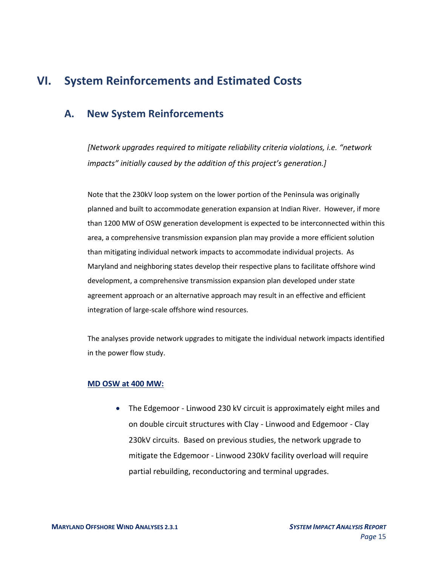### <span id="page-14-0"></span>**VI. System Reinforcements and Estimated Costs**

#### <span id="page-14-1"></span>**A. New System Reinforcements**

*[Network upgrades required to mitigate reliability criteria violations, i.e. "network impacts" initially caused by the addition of this project's generation.]*

Note that the 230kV loop system on the lower portion of the Peninsula was originally planned and built to accommodate generation expansion at Indian River. However, if more than 1200 MW of OSW generation development is expected to be interconnected within this area, a comprehensive transmission expansion plan may provide a more efficient solution than mitigating individual network impacts to accommodate individual projects. As Maryland and neighboring states develop their respective plans to facilitate offshore wind development, a comprehensive transmission expansion plan developed under state agreement approach or an alternative approach may result in an effective and efficient integration of large-scale offshore wind resources.

The analyses provide network upgrades to mitigate the individual network impacts identified in the power flow study.

#### **MD OSW at 400 MW:**

• The Edgemoor - Linwood 230 kV circuit is approximately eight miles and on double circuit structures with Clay - Linwood and Edgemoor - Clay 230kV circuits. Based on previous studies, the network upgrade to mitigate the Edgemoor - Linwood 230kV facility overload will require partial rebuilding, reconductoring and terminal upgrades.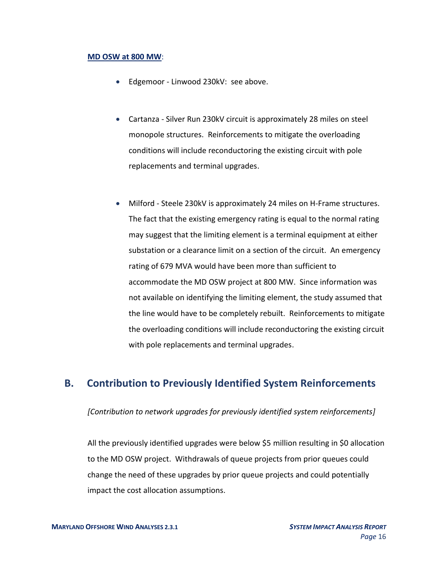#### **MD OSW at 800 MW**:

- Edgemoor Linwood 230kV: see above.
- Cartanza Silver Run 230kV circuit is approximately 28 miles on steel monopole structures. Reinforcements to mitigate the overloading conditions will include reconductoring the existing circuit with pole replacements and terminal upgrades.
- Milford Steele 230kV is approximately 24 miles on H-Frame structures. The fact that the existing emergency rating is equal to the normal rating may suggest that the limiting element is a terminal equipment at either substation or a clearance limit on a section of the circuit. An emergency rating of 679 MVA would have been more than sufficient to accommodate the MD OSW project at 800 MW. Since information was not available on identifying the limiting element, the study assumed that the line would have to be completely rebuilt. Reinforcements to mitigate the overloading conditions will include reconductoring the existing circuit with pole replacements and terminal upgrades.

#### <span id="page-15-0"></span>**B. Contribution to Previously Identified System Reinforcements**

*[Contribution to network upgrades for previously identified system reinforcements]*

All the previously identified upgrades were below \$5 million resulting in \$0 allocation to the MD OSW project. Withdrawals of queue projects from prior queues could change the need of these upgrades by prior queue projects and could potentially impact the cost allocation assumptions.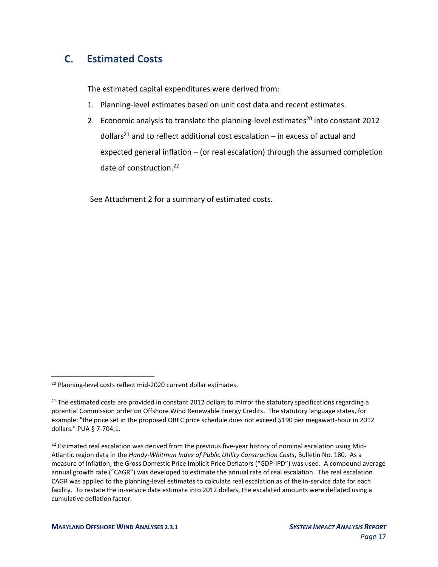### <span id="page-16-0"></span>**C. Estimated Costs**

The estimated capital expenditures were derived from:

- 1. Planning-level estimates based on unit cost data and recent estimates.
- 2. Economic analysis to translate the planning-level estimates<sup>20</sup> into constant 2012 dollars<sup>21</sup> and to reflect additional cost escalation – in excess of actual and expected general inflation – (or real escalation) through the assumed completion date of construction. 22

See Attachment 2 for a summary of estimated costs.

<sup>&</sup>lt;sup>20</sup> Planning-level costs reflect mid-2020 current dollar estimates.

 $21$  The estimated costs are provided in constant 2012 dollars to mirror the statutory specifications regarding a potential Commission order on Offshore Wind Renewable Energy Credits. The statutory language states, for example: "the price set in the proposed OREC price schedule does not exceed \$190 per megawatt-hour in 2012 dollars." PUA § 7-704.1.

 $22$  Estimated real escalation was derived from the previous five-year history of nominal escalation using Mid-Atlantic region data in the *Handy-Whitman Index of Public Utility Construction Costs*, Bulletin No. 180. As a measure of inflation, the Gross Domestic Price Implicit Price Deflators ("GDP-IPD") was used. A compound average annual growth rate ("CAGR") was developed to estimate the annual rate of real escalation. The real escalation CAGR was applied to the planning-level estimates to calculate real escalation as of the in-service date for each facility. To restate the in-service date estimate into 2012 dollars, the escalated amounts were deflated using a cumulative deflation factor.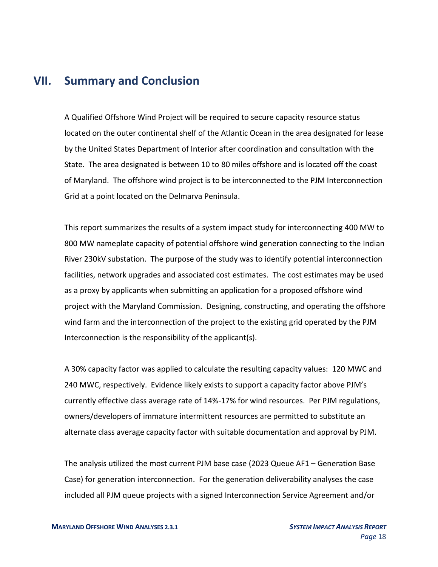### <span id="page-17-0"></span>**VII. Summary and Conclusion**

A Qualified Offshore Wind Project will be required to secure capacity resource status located on the outer continental shelf of the Atlantic Ocean in the area designated for lease by the United States Department of Interior after coordination and consultation with the State. The area designated is between 10 to 80 miles offshore and is located off the coast of Maryland. The offshore wind project is to be interconnected to the PJM Interconnection Grid at a point located on the Delmarva Peninsula.

This report summarizes the results of a system impact study for interconnecting 400 MW to 800 MW nameplate capacity of potential offshore wind generation connecting to the Indian River 230kV substation. The purpose of the study was to identify potential interconnection facilities, network upgrades and associated cost estimates. The cost estimates may be used as a proxy by applicants when submitting an application for a proposed offshore wind project with the Maryland Commission. Designing, constructing, and operating the offshore wind farm and the interconnection of the project to the existing grid operated by the PJM Interconnection is the responsibility of the applicant(s).

A 30% capacity factor was applied to calculate the resulting capacity values: 120 MWC and 240 MWC, respectively. Evidence likely exists to support a capacity factor above PJM's currently effective class average rate of 14%-17% for wind resources. Per PJM regulations, owners/developers of immature intermittent resources are permitted to substitute an alternate class average capacity factor with suitable documentation and approval by PJM.

The analysis utilized the most current PJM base case (2023 Queue AF1 – Generation Base Case) for generation interconnection. For the generation deliverability analyses the case included all PJM queue projects with a signed Interconnection Service Agreement and/or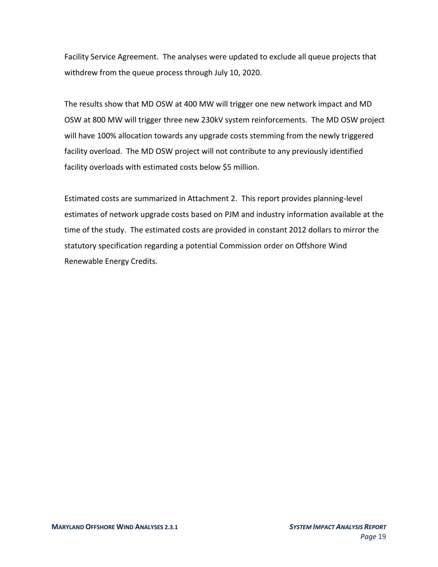Facility Service Agreement. The analyses were updated to exclude all queue projects that withdrew from the queue process through July 10, 2020.

The results show that MD OSW at 400 MW will trigger one new network impact and MD OSW at 800 MW will trigger three new 230kV system reinforcements. The MD OSW project will have 100% allocation towards any upgrade costs stemming from the newly triggered facility overload. The MD OSW project will not contribute to any previously identified facility overloads with estimated costs below \$5 million.

Estimated costs are summarized in Attachment 2. This report provides planning-level estimates of network upgrade costs based on PJM and industry information available at the time of the study. The estimated costs are provided in constant 2012 dollars to mirror the statutory specification regarding a potential Commission order on Offshore Wind Renewable Energy Credits.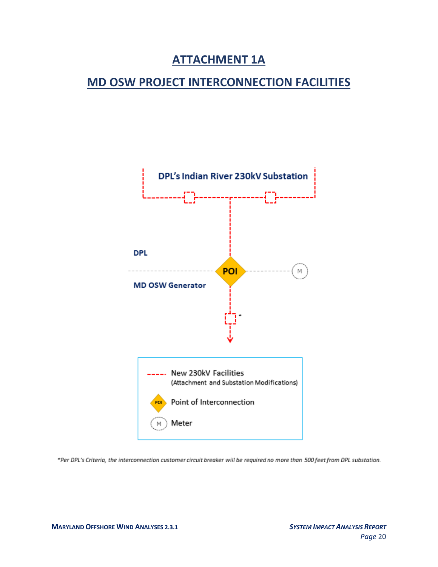### **ATTACHMENT 1A**

### <span id="page-19-0"></span>**MD OSW PROJECT INTERCONNECTION FACILITIES**



\*Per DPL's Criteria, the interconnection customer circuit breaker will be required no more than 500 feet from DPL substation.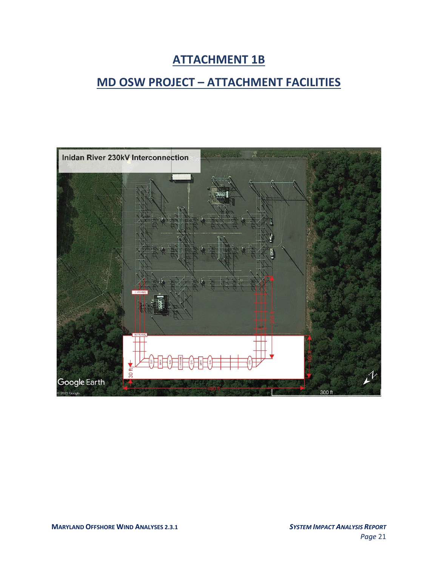## **ATTACHMENT 1B**

## <span id="page-20-0"></span>**MD OSW PROJECT – ATTACHMENT FACILITIES**